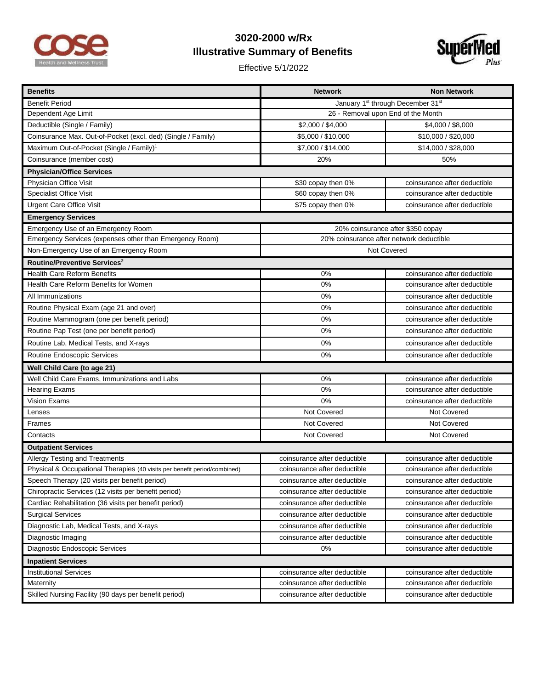

## **3020-2000 w/Rx Illustrative Summary of Benefits**

Effective 5/1/2022



| <b>Benefits</b>                                                           | <b>Network</b>                           | <b>Non Network</b>           |  |
|---------------------------------------------------------------------------|------------------------------------------|------------------------------|--|
| <b>Benefit Period</b>                                                     | January 1st through December 31st        |                              |  |
| Dependent Age Limit                                                       | 26 - Removal upon End of the Month       |                              |  |
| Deductible (Single / Family)                                              | \$2,000 / \$4,000                        | \$4,000 / \$8,000            |  |
| Coinsurance Max. Out-of-Pocket (excl. ded) (Single / Family)              | \$5,000 / \$10,000                       | \$10,000 / \$20,000          |  |
| Maximum Out-of-Pocket (Single / Family) <sup>1</sup>                      | \$7,000 / \$14,000                       | \$14,000 / \$28,000          |  |
| Coinsurance (member cost)                                                 | 20%                                      | 50%                          |  |
| <b>Physician/Office Services</b>                                          |                                          |                              |  |
| Physician Office Visit                                                    | \$30 copay then 0%                       | coinsurance after deductible |  |
| <b>Specialist Office Visit</b>                                            | \$60 copay then 0%                       | coinsurance after deductible |  |
| <b>Urgent Care Office Visit</b>                                           | \$75 copay then 0%                       | coinsurance after deductible |  |
| <b>Emergency Services</b>                                                 |                                          |                              |  |
| Emergency Use of an Emergency Room                                        | 20% coinsurance after \$350 copay        |                              |  |
| Emergency Services (expenses other than Emergency Room)                   | 20% coinsurance after network deductible |                              |  |
| Non-Emergency Use of an Emergency Room                                    | Not Covered                              |                              |  |
| Routine/Preventive Services <sup>2</sup>                                  |                                          |                              |  |
| Health Care Reform Benefits                                               | 0%                                       | coinsurance after deductible |  |
| Health Care Reform Benefits for Women                                     | 0%                                       | coinsurance after deductible |  |
| All Immunizations                                                         | 0%                                       | coinsurance after deductible |  |
| Routine Physical Exam (age 21 and over)                                   | 0%                                       | coinsurance after deductible |  |
| Routine Mammogram (one per benefit period)                                | 0%                                       | coinsurance after deductible |  |
| Routine Pap Test (one per benefit period)                                 | 0%                                       | coinsurance after deductible |  |
| Routine Lab, Medical Tests, and X-rays                                    | 0%                                       | coinsurance after deductible |  |
| Routine Endoscopic Services                                               | 0%                                       | coinsurance after deductible |  |
| Well Child Care (to age 21)                                               |                                          |                              |  |
| Well Child Care Exams, Immunizations and Labs                             | 0%                                       | coinsurance after deductible |  |
| <b>Hearing Exams</b>                                                      | 0%                                       | coinsurance after deductible |  |
| <b>Vision Exams</b>                                                       | 0%                                       | coinsurance after deductible |  |
| Lenses                                                                    | Not Covered                              | Not Covered                  |  |
| Frames                                                                    | Not Covered                              | Not Covered                  |  |
| Contacts                                                                  | Not Covered                              | Not Covered                  |  |
| <b>Outpatient Services</b>                                                |                                          |                              |  |
| Allergy Testing and Treatments                                            | coinsurance after deductible             | coinsurance after deductible |  |
| Physical & Occupational Therapies (40 visits per benefit period/combined) | coinsurance after deductible             | coinsurance after deductible |  |
| Speech Therapy (20 visits per benefit period)                             | coinsurance after deductible             | coinsurance after deductible |  |
| Chiropractic Services (12 visits per benefit period)                      | coinsurance after deductible             | coinsurance after deductible |  |
| Cardiac Rehabilitation (36 visits per benefit period)                     | coinsurance after deductible             | coinsurance after deductible |  |
| <b>Surgical Services</b>                                                  | coinsurance after deductible             | coinsurance after deductible |  |
| Diagnostic Lab, Medical Tests, and X-rays                                 | coinsurance after deductible             | coinsurance after deductible |  |
| Diagnostic Imaging                                                        | coinsurance after deductible             | coinsurance after deductible |  |
| Diagnostic Endoscopic Services                                            | 0%                                       | coinsurance after deductible |  |
| <b>Inpatient Services</b>                                                 |                                          |                              |  |
| <b>Institutional Services</b>                                             | coinsurance after deductible             | coinsurance after deductible |  |
| Maternity                                                                 | coinsurance after deductible             | coinsurance after deductible |  |
| Skilled Nursing Facility (90 days per benefit period)                     | coinsurance after deductible             | coinsurance after deductible |  |